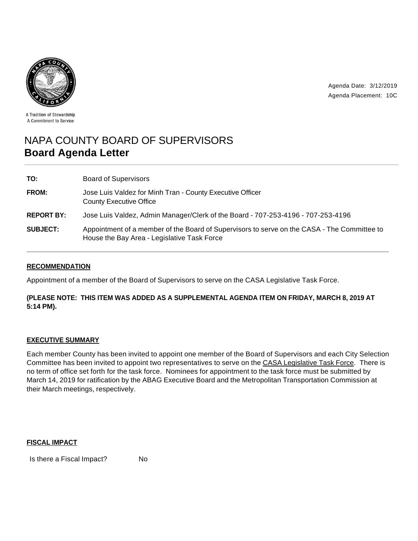

Agenda Date: 3/12/2019 Agenda Placement: 10C

A Tradition of Stewardship A Commitment to Service

# NAPA COUNTY BOARD OF SUPERVISORS **Board Agenda Letter**

| TO:               | <b>Board of Supervisors</b>                                                                                                                |
|-------------------|--------------------------------------------------------------------------------------------------------------------------------------------|
| <b>FROM:</b>      | Jose Luis Valdez for Minh Tran - County Executive Officer<br><b>County Executive Office</b>                                                |
| <b>REPORT BY:</b> | Jose Luis Valdez, Admin Manager/Clerk of the Board - 707-253-4196 - 707-253-4196                                                           |
| <b>SUBJECT:</b>   | Appointment of a member of the Board of Supervisors to serve on the CASA - The Committee to<br>House the Bay Area - Legislative Task Force |

## **RECOMMENDATION**

Appointment of a member of the Board of Supervisors to serve on the CASA Legislative Task Force.

## **(PLEASE NOTE: THIS ITEM WAS ADDED AS A SUPPLEMENTAL AGENDA ITEM ON FRIDAY, MARCH 8, 2019 AT 5:14 PM).**

### **EXECUTIVE SUMMARY**

Each member County has been invited to appoint one member of the Board of Supervisors and each City Selection Committee has been invited to appoint two representatives to serve on the CASA Legislative Task Force. There is no term of office set forth for the task force. Nominees for appointment to the task force must be submitted by March 14, 2019 for ratification by the ABAG Executive Board and the Metropolitan Transportation Commission at their March meetings, respectively.

### **FISCAL IMPACT**

Is there a Fiscal Impact? No